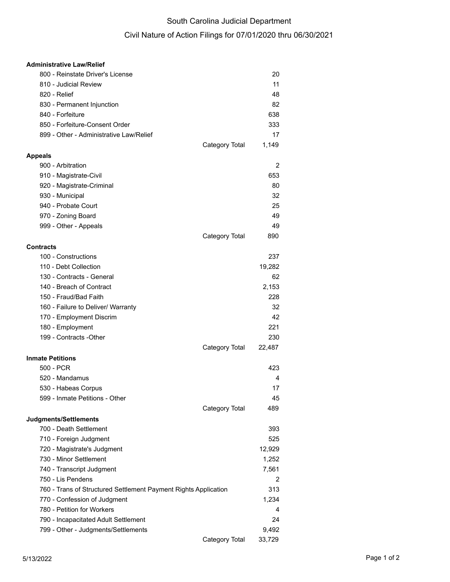## South Carolina Judicial Department

## Civil Nature of Action Filings for 07/01/2020 thru 06/30/2021

| <b>Administrative Law/Relief</b>                                |                |        |
|-----------------------------------------------------------------|----------------|--------|
| 800 - Reinstate Driver's License                                |                | 20     |
| 810 - Judicial Review                                           |                | 11     |
| 820 - Relief                                                    |                | 48     |
| 830 - Permanent Injunction                                      |                | 82     |
| 840 - Forfeiture                                                |                | 638    |
| 850 - Forfeiture-Consent Order                                  |                | 333    |
| 899 - Other - Administrative Law/Relief                         |                | 17     |
|                                                                 | Category Total | 1,149  |
| <b>Appeals</b>                                                  |                |        |
| 900 - Arbitration                                               |                | 2      |
| 910 - Magistrate-Civil                                          |                | 653    |
| 920 - Magistrate-Criminal                                       |                | 80     |
| 930 - Municipal                                                 |                | 32     |
| 940 - Probate Court                                             |                | 25     |
| 970 - Zoning Board                                              |                | 49     |
| 999 - Other - Appeals                                           |                | 49     |
|                                                                 | Category Total | 890    |
| <b>Contracts</b>                                                |                |        |
| 100 - Constructions                                             |                | 237    |
| 110 - Debt Collection                                           |                |        |
|                                                                 |                | 19,282 |
| 130 - Contracts - General                                       |                | 62     |
| 140 - Breach of Contract                                        |                | 2,153  |
| 150 - Fraud/Bad Faith                                           |                | 228    |
| 160 - Failure to Deliver/ Warranty                              |                | 32     |
| 170 - Employment Discrim                                        |                | 42     |
| 180 - Employment                                                |                | 221    |
| 199 - Contracts - Other                                         |                | 230    |
|                                                                 | Category Total | 22,487 |
| <b>Inmate Petitions</b>                                         |                |        |
| 500 - PCR                                                       |                | 423    |
| 520 - Mandamus                                                  |                | 4      |
| 530 - Habeas Corpus                                             |                | 17     |
| 599 - Inmate Petitions - Other                                  |                | 45     |
|                                                                 | Category Total | 489    |
| Judgments/Settlements                                           |                |        |
| 700 - Death Settlement                                          |                | 393    |
| 710 - Foreign Judgment                                          |                | 525    |
| 720 - Magistrate's Judgment                                     |                | 12,929 |
| 730 - Minor Settlement                                          |                | 1,252  |
| 740 - Transcript Judgment                                       |                | 7,561  |
| 750 - Lis Pendens                                               |                | 2      |
| 760 - Trans of Structured Settlement Payment Rights Application |                | 313    |
| 770 - Confession of Judgment                                    |                | 1,234  |
| 780 - Petition for Workers                                      |                | 4      |
| 790 - Incapacitated Adult Settlement                            |                | 24     |
| 799 - Other - Judgments/Settlements                             |                | 9,492  |
|                                                                 | Category Total | 33,729 |